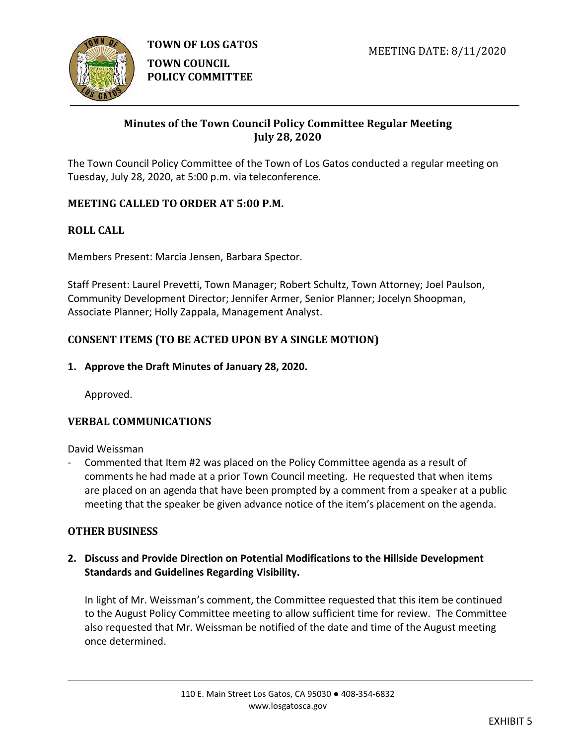

**TOWN OF LOS GATOS TOWN COUNCIL** 

**POLICY COMMITTEE**

# **Minutes of the Town Council Policy Committee Regular Meeting July 28, 2020**

The Town Council Policy Committee of the Town of Los Gatos conducted a regular meeting on Tuesday, July 28, 2020, at 5:00 p.m. via teleconference.

## **MEETING CALLED TO ORDER AT 5:00 P.M.**

#### **ROLL CALL**

Members Present: Marcia Jensen, Barbara Spector.

Staff Present: Laurel Prevetti, Town Manager; Robert Schultz, Town Attorney; Joel Paulson, Community Development Director; Jennifer Armer, Senior Planner; Jocelyn Shoopman, Associate Planner; Holly Zappala, Management Analyst.

## **CONSENT ITEMS (TO BE ACTED UPON BY A SINGLE MOTION)**

#### **1. Approve the Draft Minutes of January 28, 2020.**

Approved.

#### **VERBAL COMMUNICATIONS**

David Weissman

Commented that Item #2 was placed on the Policy Committee agenda as a result of comments he had made at a prior Town Council meeting. He requested that when items are placed on an agenda that have been prompted by a comment from a speaker at a public meeting that the speaker be given advance notice of the item's placement on the agenda.

#### **OTHER BUSINESS**

#### **2. Discuss and Provide Direction on Potential Modifications to the Hillside Development Standards and Guidelines Regarding Visibility.**

In light of Mr. Weissman's comment, the Committee requested that this item be continued to the August Policy Committee meeting to allow sufficient time for review. The Committee also requested that Mr. Weissman be notified of the date and time of the August meeting once determined.